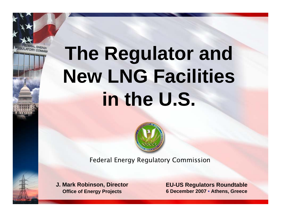# **The Regulator and New LNG Facilities in the U.S.**



Federal Energy Regulatory Commission

**J. Mark Robinson, Director Office of Energy Projects**

ULATORY COMMIC

**EU-US Regulators Roundtable 6 December 2007 • Athens, Greece**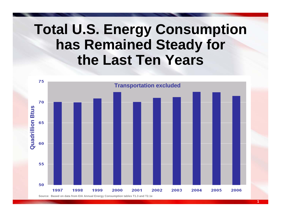#### **Total U.S. Energy Consumption has Remained Steady for the Last Ten Years**

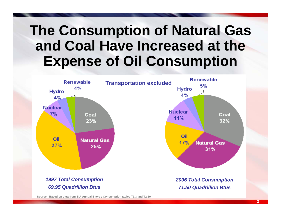#### **The Consumption of Natural Gas and Coal Have Increased at the Expense of Oil Consumption**



**Source: Based on data from EIA Annual Energy Consumption tables T1.3 and T2.1e**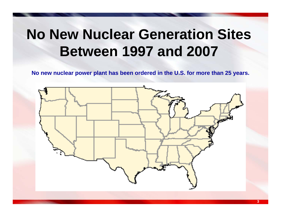### **No New Nuclear Generation Sites Between 1997 and 2007**

**No new nuclear power plant has been ordered in the U.S. for more than 25 years.**

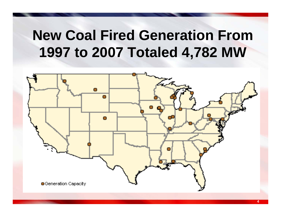### **New Coal Fired Generation From 1997 to 2007 Totaled 4,782 MW**

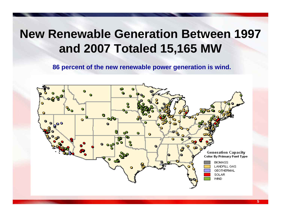#### **New Renewable Generation Between 1997 and 2007 Totaled 15,165 MW**

**86 percent of the new renewable power generation is wind.**

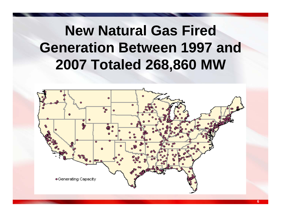## **New Natural Gas Fired Generation Between 1997 and 2007 Totaled 268,860 MW**

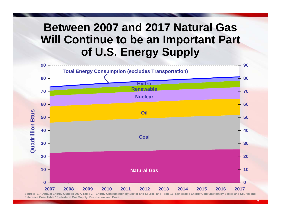#### **Between 2007 and 2017 Natural Gas Will Continue to be an Important Part of U.S. Energy Supply**



**Source: EIA Annual Energy Outlook 2007, Table 2 – Energy Consumption by Sector and Source, and Table 16- Renewable Energy Consumption by Sector and Source and Reference Case Table 13 – Natural Gas Supply, Disposition, and Price.**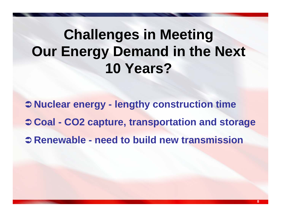## **Challenges in Meeting Our Energy Demand in the Next 10 Years?**

Â **Nuclear energy - lengthy construction time**  Â **Coal - CO2 capture, transportation and storage** Â **Renewable - need to build new transmission**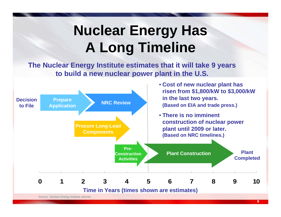## **Nuclear Energy Has A Long Timeline**

**The Nuclear Energy Institute estimates that it will take 9 years to build a new nuclear power plant in the U.S.**

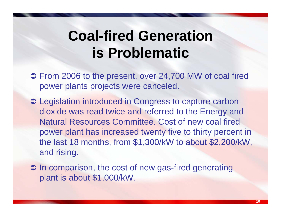#### **Coal-fired Generation is Problematic**

- **→ From 2006 to the present, over 24,700 MW of coal fired** power plants projects were canceled.
- $\supset$  Legislation introduced in Congress to capture carbon dioxide was read twice and referred to the Energy and Natural Resources Committee. Cost of new coal fired power plant has increased twenty five to thirty percent in the last 18 months, from \$1,300/kW to about \$2,200/kW, and rising.
- $\supset$  In comparison, the cost of new gas-fired generating plant is about \$1,000/kW.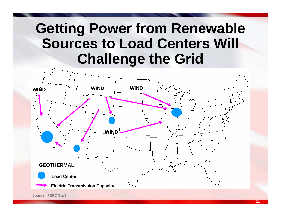### **Getting Power from Renewable Sources to Load Centers Will Challenge the Grid**

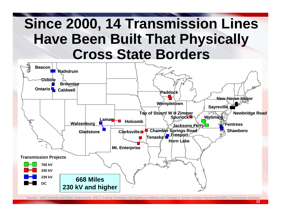#### **Since 2000, 14 Transmission Lines Have Been Built That Physically Cross State Borders**



Sources: NERC Summer and Winter Assessments, WECC Existing Generation and Significant Additions and Changes to System Facilities Reports and FERC's Transmission Database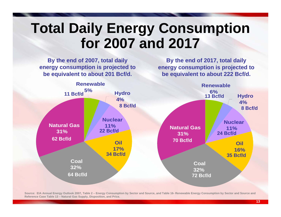### **Total Daily Energy Consumption for 2007 and 2017**

**By the end of 2007, total daily energy consumption is projected to be equivalent to about 201 Bcf/d.**

**By the end of 2017, total daily energy consumption is projected to be equivalent to about 222 Bcf/d.**



**Source: EIA Annual Energy Outlook 2007, Table 2 – Energy Consumption by Sector and Source, and Table 16- Renewable Energy Consumption by Sector and Source and Reference Case Table 13 – Natural Gas Supply, Disposition, and Price.**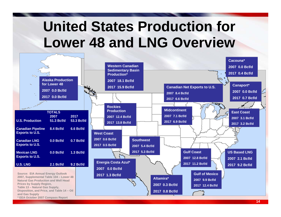## **United States Production for Lower 48 and LNG Overview**

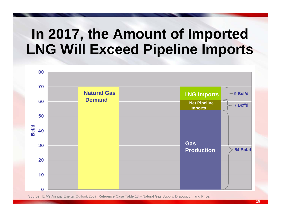#### **In 2017, the Amount of Imported LNG Will Exceed Pipeline Imports**



Source: EIA's Annual Energy Outlook 2007, Reference Case Table 13 – Natural Gas Supply, Disposition, and Price.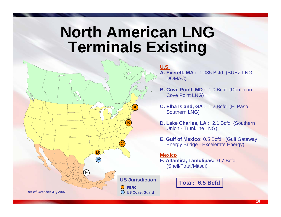### **North American LNG Terminals Existing**



**U.S.A. Everett, MA :** 1.035 Bcfd (SUEZ LNG - DOMAC)

**B. Cove Point, MD :** 1.0 Bcfd (Dominion - Cove Point LNG)

**C. Elba Island, GA :** 1.2 Bcfd (El Paso - Southern LNG)

- **D. Lake Charles, LA :** 2.1 Bcfd (Southern Union - Trunkline LNG)
- **E. Gulf of Mexico:** 0.5 Bcfd, (Gulf Gateway Energy Bridge - Excelerate Energy)

#### **Mexico**

**F. Altamira, Tamulipas:** 0.7 Bcfd, (Shell/Total/Mitsui)

**Total: 6.5 Bcfd**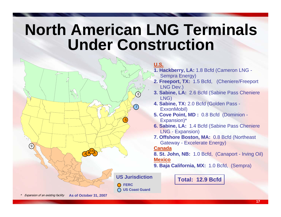## **North American LNG Terminals Under Construction**



**U.S.**

- **1. Hackberry, LA:** 1.8 Bcfd (Cameron LNG -
- Sempra Energy)
- **2. Freeport, TX:** 1.5 Bcfd, (Cheniere/Freeport LNG Dev.)
- **3. Sabine, LA:** 2.6 Bcfd (Sabine Pass Cheniere LNG)
- **4. Sabine, TX:** 2.0 Bcfd (Golden Pass ExxonMobil)
- **5. Cove Point, MD :** 0.8 Bcfd (Dominion Expansion)\*
- **6. Sabine, LA:** 1.4 Bcfd (Sabine Pass Cheniere LNG - Expansion)
- **7. Offshore Boston, MA:** 0.8 Bcfd (Northeast Gateway - Excelerate Energy)

#### **Canada**

**8. St. John, NB:** 1.0 Bcfd, (Canaport - Irving Oil) **Mexico**

**9. Baja California, MX:** 1.0 Bcfd, (Sempra)

**Total: 12.9 Bcfd**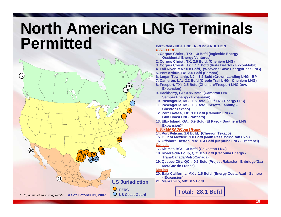#### **North American LNG Terminals PermittedPermitted - NOT UNDER CONSTRUCTION**



**U.S. - FERC**

- **1. Corpus Christi, TX: 1.0 Bcfd (Ingleside Energy – Occidental Energy Ventures)**
- **2. Corpus Christi, TX: 2.6 Bcfd, (Cheniere LNG)**
- **3. Corpus Christi, TX : 1.1 Bcfd (Vista Del Sol - ExxonMobil)**
- **4. Fall River, MA : 0.8 Bcfd, (Weaver's Cove Energy/Hess LNG)**
- **5. Port Arthur, TX: 3.0 Bcfd (Sempra)**
- **6. Logan Township, NJ : 1.2 Bcfd (Crown Landing LNG - BP**
- **7. Cameron, LA: 3.3 Bcfd (Creole Trail LNG - Cheniere LNG)**
- **8. Freeport, TX: 2.5 Bcfd (Cheniere/Freeport LNG Dev. - Expansion)**
- **9. Hackberry, LA: 0.85 Bcfd (Cameron LNG – Sempra Energy - Expansion)**
- **10. Pascagoula, MS: 1.5 Bcfd (Gulf LNG Energy LLC)**
- **11. Pascagoula, MS: 1.3 Bcfd (Casotte Landing - ChevronTexaco)**
- **12. Port Lavaca, TX: 1.0 Bcfd (Calhoun LNG – Gulf Coast LNG Partners)**
- **13. Elba Island, GA: 0.9 Bcfd (El Paso - Southern LNG Expansion)\***
- **U.S. - MARAD/Coast Guard**
- **14. Port Pelican: 1.6 Bcfd, (Chevron Texaco)**
- **15. Gulf of Mexico: 1.0 Bcfd (Main Pass McMoRan Exp.)**
- **16. Offshore Boston, MA: 0.4 Bcfd (Neptune LNG - Tractebel) Canada**
- **17. Kitimat, BC: 1.0 Bcfd (Galveston LNG)**
- **18. Rivière-du- Loup, QC: 0.5 Bcfd (Cacouna Energy - TransCanada/PetroCanada)**
- **19. Quebec City, QC : 0.5 Bcfd (Project Rabaska - Enbridge/Gaz Met/Gaz de France)**

#### **Mexico**

- **20. Baja California, MX : 1.5 Bcfd (Energy Costa Azul - Sempra - Expansion)**
- **21. Manzanillo, MX: 0.5 Bcfd**

**Total: 28.1 Bcfd**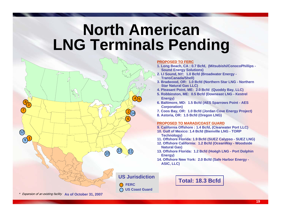### **North American LNG Terminals Pending**



#### **PROPOSED TO FERC**

- **1. Long Beach, CA : 0.7 Bcfd, (Mitsubishi/ConocoPhillips - Sound Energy Solutions)**
- **2. LI Sound, NY: 1.0 Bcfd (Broadwater Energy - TransCanada/Shell)**
- **3. Bradwood, OR: 1.0 Bcfd (Northern Star LNG - Northern Star Natural Gas LLC)**
- **4. Pleasant Point, ME: 2.0 Bcfd (Quoddy Bay, LLC)**
- **5. Robbinston, ME: 0.5 Bcfd (Downeast LNG - Kestrel Energy)**
- **6. Baltimore, MD: 1.5 Bcfd (AES Sparrows Point - AES Corporation)**
- **7. Coos Bay, OR: 1.0 Bcfd (Jordan Cove Energy Project)**
- **8. Astoria, OR: 1.5 Bcfd (Oregon LNG)**

#### **PROPOSED TO MARAD/COAST GUARD**

- **9. California Offshore : 1.4 Bcfd, (Clearwater Port LLC)**
- **10. Gulf of Mexico: 1.4 Bcfd (Bienville LNG - TORP Technology)**
- **11. Offshore Florida: 1.9 Bcfd (SUEZ Calypso - SUEZ LNG)**
- **12. Offshore California: 1.2 Bcfd (OceanWay - Woodside Natural Gas)**
- **13. Offshore Florida: 1.2 Bcfd (Hoëgh LNG - Port Dolphin Energy)**
- **14. Offshore New York: 2.0 Bcfd (Safe Harbor Energy - ASIC, LLC)**

**Total: 18.3 Bcfd**

\* Expansion of an existing facility **As of October 31, 2007**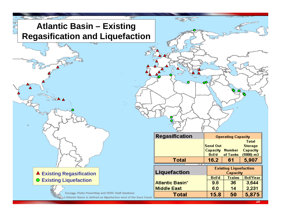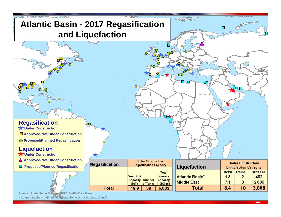

**\* Atlantic Basin is defined as liquefaction west of the Suez Canal.**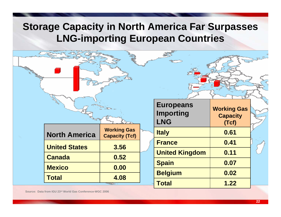#### **Storage Capacity in North America Far Surpasses LNG-importing European Countries**

|                      |                                             | <b>Europeans</b><br><b>Importing</b><br><b>LNG</b> | <b>Working Gas</b><br><b>Capacity</b><br>(Tcf) |  |
|----------------------|---------------------------------------------|----------------------------------------------------|------------------------------------------------|--|
| <b>North America</b> | <b>Working Gas</b><br><b>Capacity (Tcf)</b> | <b>Italy</b>                                       | 0.61                                           |  |
| <b>United States</b> | 3.56                                        | <b>France</b>                                      | 0.41                                           |  |
| <b>Canada</b>        | 0.52                                        | <b>United Kingdom</b>                              | 0.11                                           |  |
| <b>Mexico</b>        | 0.00                                        | <b>Spain</b>                                       | 0.07                                           |  |
|                      |                                             | <b>Belgium</b>                                     | 0.02                                           |  |
| <b>Total</b>         | 4.08                                        | <b>Total</b>                                       | 1.22                                           |  |

**Source: Data from IGU 23rd World Gas Conference-WGC 2006**